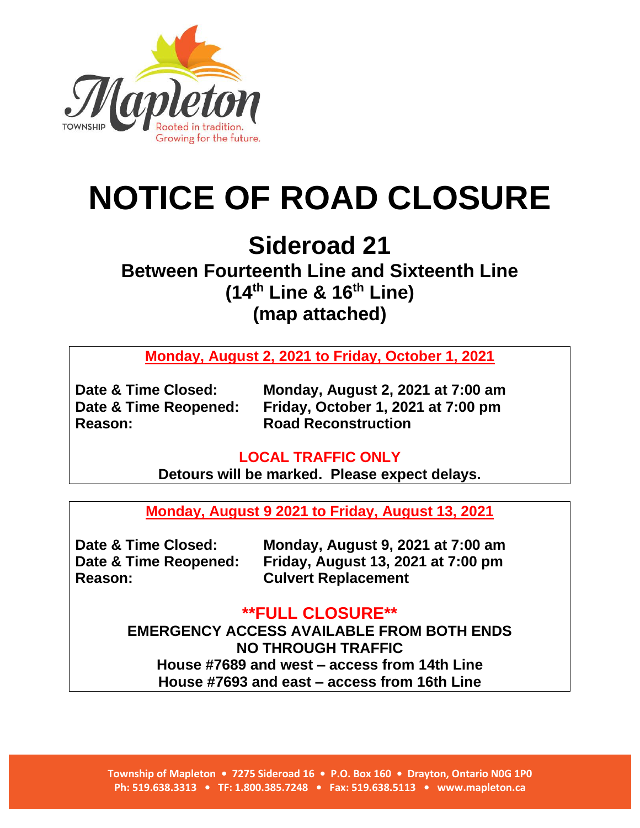

# **NOTICE OF ROAD CLOSURE**

# **Sideroad 21**

## **Between Fourteenth Line and Sixteenth Line (14th Line & 16th Line) (map attached)**

**Monday, August 2, 2021 to Friday, October 1, 2021**

**Reason: Road Reconstruction**

**Date & Time Closed: Monday, August 2, 2021 at 7:00 am Date & Time Reopened: Friday, October 1, 2021 at 7:00 pm**

#### **LOCAL TRAFFIC ONLY**

**Detours will be marked. Please expect delays.**

**Monday, August 9 2021 to Friday, August 13, 2021**

**Reason: Culvert Replacement**

**Date & Time Closed: Monday, August 9, 2021 at 7:00 am Date & Time Reopened: Friday, August 13, 2021 at 7:00 pm**

### **\*\*FULL CLOSURE\*\***

**EMERGENCY ACCESS AVAILABLE FROM BOTH ENDS NO THROUGH TRAFFIC House #7689 and west – access from 14th Line House #7693 and east – access from 16th Line**

**Township of Mapleton • 7275 Sideroad 16 • P.O. Box 160 • Drayton, Ontario N0G 1P0 Ph: 519.638.3313 • TF: 1.800.385.7248 • Fax: 519.638.5113 • www.mapleton.ca**